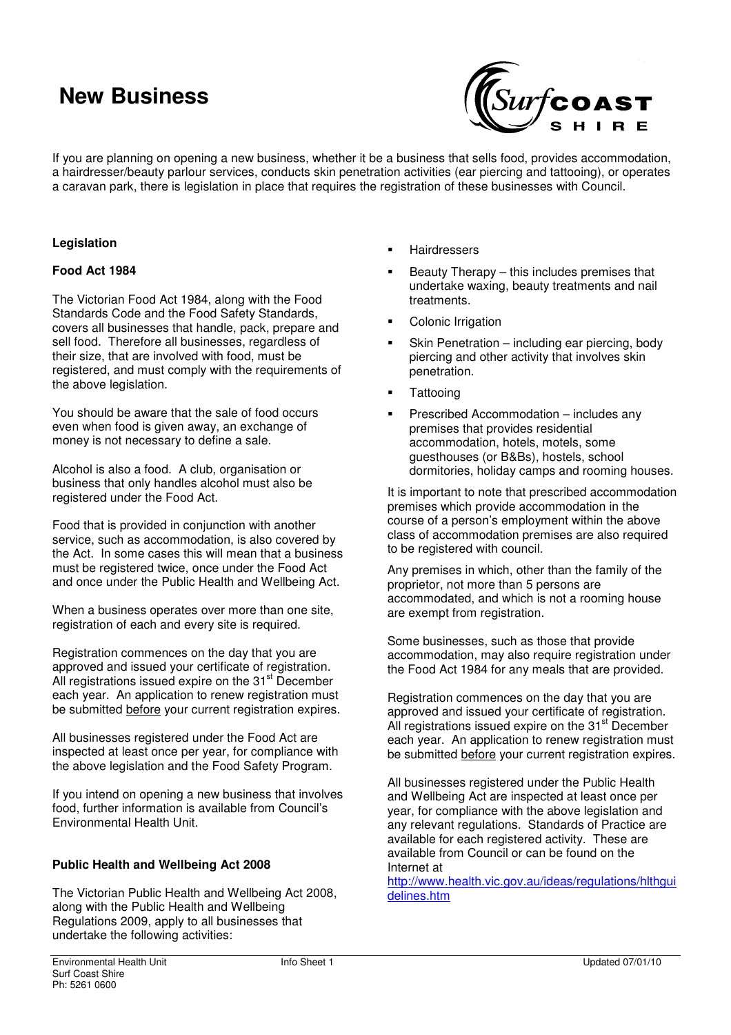# **New Business**



If you are planning on opening a new business, whether it be a business that sells food, provides accommodation, a hairdresser/beauty parlour services, conducts skin penetration activities (ear piercing and tattooing), or operates a caravan park, there is legislation in place that requires the registration of these businesses with Council.

### **Legislation**

#### **Food Act 1984**

The Victorian Food Act 1984, along with the Food Standards Code and the Food Safety Standards, covers all businesses that handle, pack, prepare and sell food. Therefore all businesses, regardless of their size, that are involved with food, must be registered, and must comply with the requirements of the above legislation.

You should be aware that the sale of food occurs even when food is given away, an exchange of money is not necessary to define a sale.

Alcohol is also a food. A club, organisation or business that only handles alcohol must also be registered under the Food Act.

Food that is provided in conjunction with another service, such as accommodation, is also covered by the Act. In some cases this will mean that a business must be registered twice, once under the Food Act and once under the Public Health and Wellbeing Act.

When a business operates over more than one site, registration of each and every site is required.

Registration commences on the day that you are approved and issued your certificate of registration. All registrations issued expire on the 31<sup>st</sup> December each year. An application to renew registration must be submitted before your current registration expires.

All businesses registered under the Food Act are inspected at least once per year, for compliance with the above legislation and the Food Safety Program.

If you intend on opening a new business that involves food, further information is available from Council's Environmental Health Unit.

### **Public Health and Wellbeing Act 2008**

The Victorian Public Health and Wellbeing Act 2008, along with the Public Health and Wellbeing Regulations 2009, apply to all businesses that undertake the following activities:

- Hairdressers
- $\blacksquare$  Beauty Therapy this includes premises that undertake waxing, beauty treatments and nail treatments.
- Colonic Irrigation
- Skin Penetration including ear piercing, body piercing and other activity that involves skin penetration.
- **Tattooing**
- Prescribed Accommodation includes any premises that provides residential accommodation, hotels, motels, some guesthouses (or B&Bs), hostels, school dormitories, holiday camps and rooming houses.

It is important to note that prescribed accommodation premises which provide accommodation in the course of a person's employment within the above class of accommodation premises are also required to be registered with council.

Any premises in which, other than the family of the proprietor, not more than 5 persons are accommodated, and which is not a rooming house are exempt from registration.

Some businesses, such as those that provide accommodation, may also require registration under the Food Act 1984 for any meals that are provided.

Registration commences on the day that you are approved and issued your certificate of registration. All registrations issued expire on the 31<sup>st</sup> December each year. An application to renew registration must be submitted before your current registration expires.

All businesses registered under the Public Health and Wellbeing Act are inspected at least once per year, for compliance with the above legislation and any relevant regulations. Standards of Practice are available for each registered activity. These are available from Council or can be found on the Internet at

http://www.health.vic.gov.au/ideas/regulations/hlthgui delines.htm